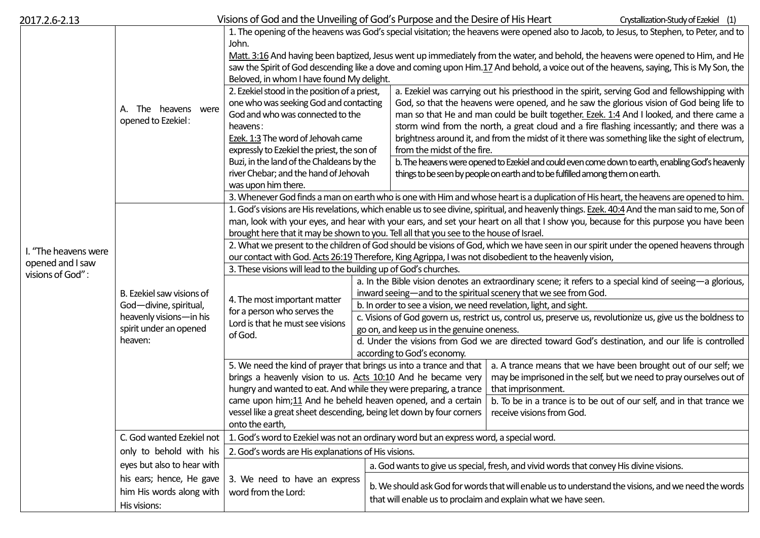| 2017.2.6-2.13                                                |                                                                                                                     | Visions of God and the Unveiling of God's Purpose and the Desire of His Heart                                                                                                                                                                                                                                                                                                                                                                                                                                                                                                                                                                                                                                                                                            |                                                                                                                                                                              |                                                                                                                                                                                                                                                                                                                                                                                                                                                                                                             | Crystallization-Study of Ezekiel (1)                                                                                                                                                                           |
|--------------------------------------------------------------|---------------------------------------------------------------------------------------------------------------------|--------------------------------------------------------------------------------------------------------------------------------------------------------------------------------------------------------------------------------------------------------------------------------------------------------------------------------------------------------------------------------------------------------------------------------------------------------------------------------------------------------------------------------------------------------------------------------------------------------------------------------------------------------------------------------------------------------------------------------------------------------------------------|------------------------------------------------------------------------------------------------------------------------------------------------------------------------------|-------------------------------------------------------------------------------------------------------------------------------------------------------------------------------------------------------------------------------------------------------------------------------------------------------------------------------------------------------------------------------------------------------------------------------------------------------------------------------------------------------------|----------------------------------------------------------------------------------------------------------------------------------------------------------------------------------------------------------------|
| I. "The heavens were<br>opened and I saw<br>visions of God": | A. The heavens were<br>opened to Ezekiel:                                                                           | 1. The opening of the heavens was God's special visitation; the heavens were opened also to Jacob, to Jesus, to Stephen, to Peter, and to<br>John.<br>Matt. 3:16 And having been baptized, Jesus went up immediately from the water, and behold, the heavens were opened to Him, and He<br>saw the Spirit of God descending like a dove and coming upon Him.17 And behold, a voice out of the heavens, saying, This is My Son, the<br>Beloved, in whom I have found My delight.<br>2. Ezekiel stood in the position of a priest,<br>a. Ezekiel was carrying out his priesthood in the spirit, serving God and fellowshipping with<br>one who was seeking God and contacting<br>God, so that the heavens were opened, and he saw the glorious vision of God being life to |                                                                                                                                                                              |                                                                                                                                                                                                                                                                                                                                                                                                                                                                                                             |                                                                                                                                                                                                                |
|                                                              |                                                                                                                     | God and who was connected to the<br>heavens:<br>Ezek. 1:3 The word of Jehovah came<br>expressly to Ezekiel the priest, the son of<br>Buzi, in the land of the Chaldeans by the<br>river Chebar; and the hand of Jehovah                                                                                                                                                                                                                                                                                                                                                                                                                                                                                                                                                  |                                                                                                                                                                              | man so that He and man could be built together. Ezek. 1:4 And I looked, and there came a<br>storm wind from the north, a great cloud and a fire flashing incessantly; and there was a<br>brightness around it, and from the midst of it there was something like the sight of electrum,<br>from the midst of the fire.<br>b. The heavens were opened to Ezekiel and could even come down to earth, enabling God's heavenly<br>things to be seen by people on earth and to be fulfilled among them on earth. |                                                                                                                                                                                                                |
|                                                              |                                                                                                                     | was upon him there.                                                                                                                                                                                                                                                                                                                                                                                                                                                                                                                                                                                                                                                                                                                                                      |                                                                                                                                                                              |                                                                                                                                                                                                                                                                                                                                                                                                                                                                                                             |                                                                                                                                                                                                                |
|                                                              |                                                                                                                     | 3. Whenever God finds a man on earth who is one with Him and whose heart is a duplication of His heart, the heavens are opened to him.                                                                                                                                                                                                                                                                                                                                                                                                                                                                                                                                                                                                                                   |                                                                                                                                                                              |                                                                                                                                                                                                                                                                                                                                                                                                                                                                                                             |                                                                                                                                                                                                                |
|                                                              | B. Ezekiel saw visions of<br>God-divine, spiritual,<br>heavenly visions-in his<br>spirit under an opened<br>heaven: | 1. God's visions are His revelations, which enable us to see divine, spiritual, and heavenly things. Ezek. 40:4 And the man said to me, Son of<br>man, look with your eyes, and hear with your ears, and set your heart on all that I show you, because for this purpose you have been<br>brought here that it may be shown to you. Tell all that you see to the house of Israel.<br>2. What we present to the children of God should be visions of God, which we have seen in our spirit under the opened heavens through                                                                                                                                                                                                                                               |                                                                                                                                                                              |                                                                                                                                                                                                                                                                                                                                                                                                                                                                                                             |                                                                                                                                                                                                                |
|                                                              |                                                                                                                     | our contact with God. Acts 26:19 Therefore, King Agrippa, I was not disobedient to the heavenly vision,<br>3. These visions will lead to the building up of God's churches.                                                                                                                                                                                                                                                                                                                                                                                                                                                                                                                                                                                              |                                                                                                                                                                              |                                                                                                                                                                                                                                                                                                                                                                                                                                                                                                             |                                                                                                                                                                                                                |
|                                                              |                                                                                                                     | 4. The most important matter<br>for a person who serves the<br>Lord is that he must see visions<br>of God.                                                                                                                                                                                                                                                                                                                                                                                                                                                                                                                                                                                                                                                               | a. In the Bible vision denotes an extraordinary scene; it refers to a special kind of seeing—a glorious,<br>inward seeing-and to the spiritual scenery that we see from God. |                                                                                                                                                                                                                                                                                                                                                                                                                                                                                                             |                                                                                                                                                                                                                |
|                                                              |                                                                                                                     |                                                                                                                                                                                                                                                                                                                                                                                                                                                                                                                                                                                                                                                                                                                                                                          | b. In order to see a vision, we need revelation, light, and sight.                                                                                                           |                                                                                                                                                                                                                                                                                                                                                                                                                                                                                                             |                                                                                                                                                                                                                |
|                                                              |                                                                                                                     |                                                                                                                                                                                                                                                                                                                                                                                                                                                                                                                                                                                                                                                                                                                                                                          | c. Visions of God govern us, restrict us, control us, preserve us, revolutionize us, give us the boldness to<br>go on, and keep us in the genuine oneness.                   |                                                                                                                                                                                                                                                                                                                                                                                                                                                                                                             |                                                                                                                                                                                                                |
|                                                              |                                                                                                                     |                                                                                                                                                                                                                                                                                                                                                                                                                                                                                                                                                                                                                                                                                                                                                                          | d. Under the visions from God we are directed toward God's destination, and our life is controlled<br>according to God's economy.                                            |                                                                                                                                                                                                                                                                                                                                                                                                                                                                                                             |                                                                                                                                                                                                                |
|                                                              |                                                                                                                     | 5. We need the kind of prayer that brings us into a trance and that<br>brings a heavenly vision to us. Acts 10:10 And he became very<br>hungry and wanted to eat. And while they were preparing, a trance<br>came upon him;11 And he beheld heaven opened, and a certain<br>vessel like a great sheet descending, being let down by four corners                                                                                                                                                                                                                                                                                                                                                                                                                         |                                                                                                                                                                              | that imprisonment.<br>receive visions from God.                                                                                                                                                                                                                                                                                                                                                                                                                                                             | a. A trance means that we have been brought out of our self; we<br>may be imprisoned in the self, but we need to pray ourselves out of<br>b. To be in a trance is to be out of our self, and in that trance we |
|                                                              |                                                                                                                     | onto the earth,                                                                                                                                                                                                                                                                                                                                                                                                                                                                                                                                                                                                                                                                                                                                                          |                                                                                                                                                                              |                                                                                                                                                                                                                                                                                                                                                                                                                                                                                                             |                                                                                                                                                                                                                |
|                                                              | C. God wanted Ezekiel not<br>only to behold with his                                                                | 1. God's word to Ezekiel was not an ordinary word but an express word, a special word.<br>2. God's words are His explanations of His visions.                                                                                                                                                                                                                                                                                                                                                                                                                                                                                                                                                                                                                            |                                                                                                                                                                              |                                                                                                                                                                                                                                                                                                                                                                                                                                                                                                             |                                                                                                                                                                                                                |
|                                                              | eyes but also to hear with                                                                                          |                                                                                                                                                                                                                                                                                                                                                                                                                                                                                                                                                                                                                                                                                                                                                                          |                                                                                                                                                                              |                                                                                                                                                                                                                                                                                                                                                                                                                                                                                                             |                                                                                                                                                                                                                |
|                                                              | his ears; hence, He gave                                                                                            | 3. We need to have an express<br>word from the Lord:                                                                                                                                                                                                                                                                                                                                                                                                                                                                                                                                                                                                                                                                                                                     | a. God wants to give us special, fresh, and vivid words that convey His divine visions.                                                                                      |                                                                                                                                                                                                                                                                                                                                                                                                                                                                                                             |                                                                                                                                                                                                                |
|                                                              | him His words along with<br>His visions:                                                                            |                                                                                                                                                                                                                                                                                                                                                                                                                                                                                                                                                                                                                                                                                                                                                                          | b. We should ask God for words that will enable us to understand the visions, and we need the words<br>that will enable us to proclaim and explain what we have seen.        |                                                                                                                                                                                                                                                                                                                                                                                                                                                                                                             |                                                                                                                                                                                                                |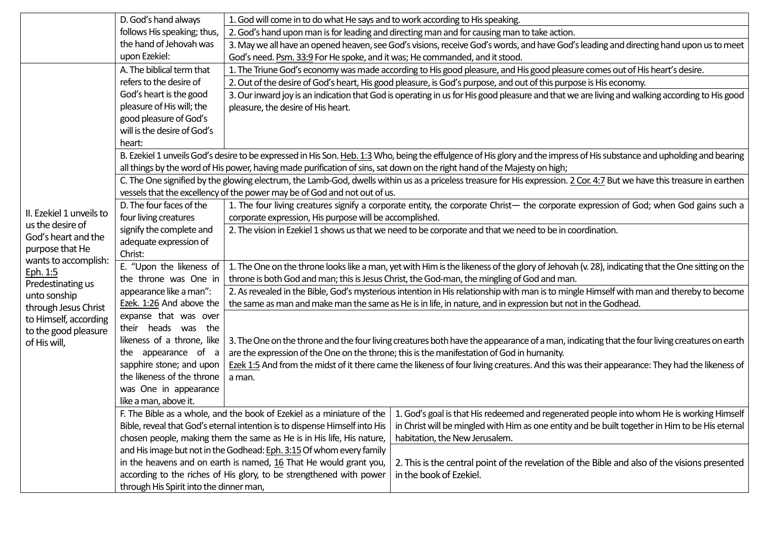| follows His speaking; thus,<br>2. God's hand upon man is for leading and directing man and for causing man to take action.<br>the hand of Jehovah was<br>3. May we all have an opened heaven, see God's visions, receive God's words, and have God's leading and directing hand upon us to meet<br>upon Ezekiel:<br>God's need. Psm. 33:9 For He spoke, and it was; He commanded, and it stood.<br>A. The biblical term that<br>1. The Triune God's economy was made according to His good pleasure, and His good pleasure comes out of His heart's desire. |                                                                                                                                                                          |  |  |  |  |  |
|-------------------------------------------------------------------------------------------------------------------------------------------------------------------------------------------------------------------------------------------------------------------------------------------------------------------------------------------------------------------------------------------------------------------------------------------------------------------------------------------------------------------------------------------------------------|--------------------------------------------------------------------------------------------------------------------------------------------------------------------------|--|--|--|--|--|
|                                                                                                                                                                                                                                                                                                                                                                                                                                                                                                                                                             |                                                                                                                                                                          |  |  |  |  |  |
|                                                                                                                                                                                                                                                                                                                                                                                                                                                                                                                                                             |                                                                                                                                                                          |  |  |  |  |  |
|                                                                                                                                                                                                                                                                                                                                                                                                                                                                                                                                                             |                                                                                                                                                                          |  |  |  |  |  |
|                                                                                                                                                                                                                                                                                                                                                                                                                                                                                                                                                             |                                                                                                                                                                          |  |  |  |  |  |
| refers to the desire of<br>2. Out of the desire of God's heart, His good pleasure, is God's purpose, and out of this purpose is His economy.                                                                                                                                                                                                                                                                                                                                                                                                                |                                                                                                                                                                          |  |  |  |  |  |
| God's heart is the good<br>3. Our inward joy is an indication that God is operating in us for His good pleasure and that we are living and walking according to His good                                                                                                                                                                                                                                                                                                                                                                                    |                                                                                                                                                                          |  |  |  |  |  |
| pleasure of His will; the<br>pleasure, the desire of His heart.                                                                                                                                                                                                                                                                                                                                                                                                                                                                                             |                                                                                                                                                                          |  |  |  |  |  |
| good pleasure of God's                                                                                                                                                                                                                                                                                                                                                                                                                                                                                                                                      |                                                                                                                                                                          |  |  |  |  |  |
| will is the desire of God's                                                                                                                                                                                                                                                                                                                                                                                                                                                                                                                                 |                                                                                                                                                                          |  |  |  |  |  |
| heart:                                                                                                                                                                                                                                                                                                                                                                                                                                                                                                                                                      |                                                                                                                                                                          |  |  |  |  |  |
| B. Ezekiel 1 unveils God's desire to be expressed in His Son. Heb. 1:3 Who, being the effulgence of His glory and the impress of His substance and upholding and bearing                                                                                                                                                                                                                                                                                                                                                                                    |                                                                                                                                                                          |  |  |  |  |  |
| all things by the word of His power, having made purification of sins, sat down on the right hand of the Majesty on high;                                                                                                                                                                                                                                                                                                                                                                                                                                   |                                                                                                                                                                          |  |  |  |  |  |
|                                                                                                                                                                                                                                                                                                                                                                                                                                                                                                                                                             | C. The One signified by the glowing electrum, the Lamb-God, dwells within us as a priceless treasure for His expression. 2 Cor. 4:7 But we have this treasure in earthen |  |  |  |  |  |
|                                                                                                                                                                                                                                                                                                                                                                                                                                                                                                                                                             | vessels that the excellency of the power may be of God and not out of us.                                                                                                |  |  |  |  |  |
| D. The four faces of the<br>1. The four living creatures signify a corporate entity, the corporate Christ- the corporate expression of God; when God gains such a<br>II. Ezekiel 1 unveils to                                                                                                                                                                                                                                                                                                                                                               |                                                                                                                                                                          |  |  |  |  |  |
| four living creatures<br>corporate expression, His purpose will be accomplished.<br>us the desire of                                                                                                                                                                                                                                                                                                                                                                                                                                                        |                                                                                                                                                                          |  |  |  |  |  |
| signify the complete and<br>God's heart and the                                                                                                                                                                                                                                                                                                                                                                                                                                                                                                             | 2. The vision in Ezekiel 1 shows us that we need to be corporate and that we need to be in coordination.                                                                 |  |  |  |  |  |
| adequate expression of<br>purpose that He                                                                                                                                                                                                                                                                                                                                                                                                                                                                                                                   |                                                                                                                                                                          |  |  |  |  |  |
| Christ:<br>wants to accomplish:                                                                                                                                                                                                                                                                                                                                                                                                                                                                                                                             |                                                                                                                                                                          |  |  |  |  |  |
| E. "Upon the likeness of<br>1. The One on the throne looks like a man, yet with Him is the likeness of the glory of Jehovah (v. 28), indicating that the One sitting on the<br>Eph. 1:5                                                                                                                                                                                                                                                                                                                                                                     |                                                                                                                                                                          |  |  |  |  |  |
| the throne was One in<br>Predestinating us                                                                                                                                                                                                                                                                                                                                                                                                                                                                                                                  | throne is both God and man; this is Jesus Christ, the God-man, the mingling of God and man.                                                                              |  |  |  |  |  |
| appearance like a man":<br>unto sonship                                                                                                                                                                                                                                                                                                                                                                                                                                                                                                                     | 2. As revealed in the Bible, God's mysterious intention in His relationship with man is to mingle Himself with man and thereby to become                                 |  |  |  |  |  |
| Ezek. 1:26 And above the<br>through Jesus Christ                                                                                                                                                                                                                                                                                                                                                                                                                                                                                                            | the same as man and make man the same as He is in life, in nature, and in expression but not in the Godhead.                                                             |  |  |  |  |  |
| expanse that was over<br>to Himself, according                                                                                                                                                                                                                                                                                                                                                                                                                                                                                                              |                                                                                                                                                                          |  |  |  |  |  |
| their heads was the<br>to the good pleasure                                                                                                                                                                                                                                                                                                                                                                                                                                                                                                                 |                                                                                                                                                                          |  |  |  |  |  |
| likeness of a throne, like<br>of His will,                                                                                                                                                                                                                                                                                                                                                                                                                                                                                                                  | 3. The One on the throne and the four living creatures both have the appearance of a man, indicating that the four living creatures on earth                             |  |  |  |  |  |
| the appearance of a                                                                                                                                                                                                                                                                                                                                                                                                                                                                                                                                         | are the expression of the One on the throne; this is the manifestation of God in humanity.                                                                               |  |  |  |  |  |
| sapphire stone; and upon<br>the likeness of the throne                                                                                                                                                                                                                                                                                                                                                                                                                                                                                                      | Ezek 1:5 And from the midst of it there came the likeness of four living creatures. And this was their appearance: They had the likeness of                              |  |  |  |  |  |
| a man.                                                                                                                                                                                                                                                                                                                                                                                                                                                                                                                                                      |                                                                                                                                                                          |  |  |  |  |  |
| was One in appearance<br>like a man, above it.                                                                                                                                                                                                                                                                                                                                                                                                                                                                                                              |                                                                                                                                                                          |  |  |  |  |  |
| F. The Bible as a whole, and the book of Ezekiel as a miniature of the   1. God's goal is that His redeemed and regenerated people into whom He is working Himself                                                                                                                                                                                                                                                                                                                                                                                          |                                                                                                                                                                          |  |  |  |  |  |
| in Christ will be mingled with Him as one entity and be built together in Him to be His eternal<br>Bible, reveal that God's eternal intention is to dispense Himself into His                                                                                                                                                                                                                                                                                                                                                                               |                                                                                                                                                                          |  |  |  |  |  |
| chosen people, making them the same as He is in His life, His nature,<br>habitation, the New Jerusalem.                                                                                                                                                                                                                                                                                                                                                                                                                                                     |                                                                                                                                                                          |  |  |  |  |  |
| and His image but not in the Godhead: Eph. 3:15 Of whom every family                                                                                                                                                                                                                                                                                                                                                                                                                                                                                        |                                                                                                                                                                          |  |  |  |  |  |
| in the heavens and on earth is named, 16 That He would grant you,                                                                                                                                                                                                                                                                                                                                                                                                                                                                                           | 2. This is the central point of the revelation of the Bible and also of the visions presented<br>in the book of Ezekiel.                                                 |  |  |  |  |  |
| according to the riches of His glory, to be strengthened with power                                                                                                                                                                                                                                                                                                                                                                                                                                                                                         |                                                                                                                                                                          |  |  |  |  |  |
| through His Spirit into the dinner man,                                                                                                                                                                                                                                                                                                                                                                                                                                                                                                                     |                                                                                                                                                                          |  |  |  |  |  |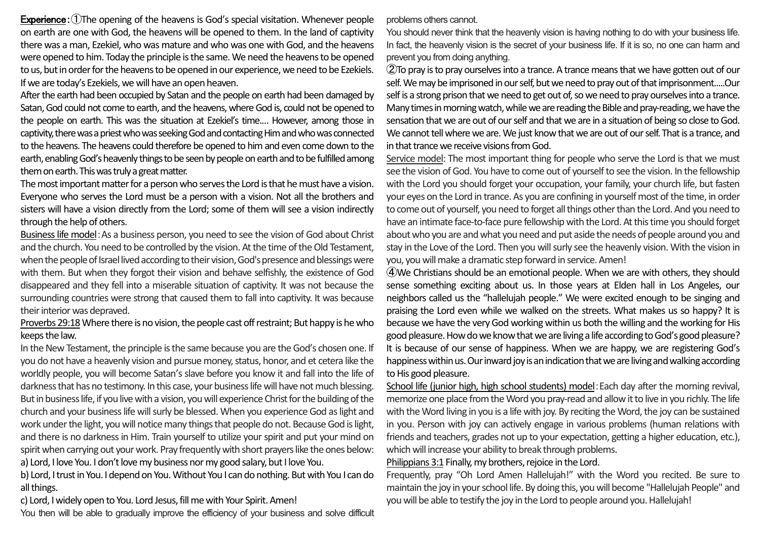Experience: (1) The opening of the heavens is God's special visitation. Whenever people on earth are one with God, the heavens will be opened to them. In the land of captivity there was a man, Ezekiel, who was mature and who was one with God, and the heavens were opened to him. Today the principle is the same. We need the heavens to be opened to us, but in order for the heavens to be opened in our experience, we need to be Ezekiels. If we are today's Ezekiels, we will have an open heaven.

After the earth had been occupied by Satan and the people on earth had been damaged by Satan, God could not come to earth, and the heavens, where God is, could not be opened to the people on earth. This was the situation at Ezekiel's time.… However, among those in captivity, there was a priest who was seeking God and contacting Him and who was connected to the heavens. The heavens could therefore be opened to him and even come down to the earth, enabling God's heavenly things to be seen by people on earth and to be fulfilled among them on earth. This was truly a great matter.

The most important matter for a person who serves the Lord is that he must have a vision. Everyone who serves the Lord must be a person with a vision. Not all the brothers and sisters will have a vision directly from the Lord; some of them will see a vision indirectly through the help of others.

Business life model:As a business person, you need to see the vision of God about Christ and the church. You need to be controlled by the vision. At the time of the Old Testament, when the people of Israel lived according to their vision, God's presence and blessings were with them. But when they forgot their vision and behave selfishly, the existence of God disappeared and they fell into a miserable situation of captivity. It was not because the surrounding countries were strong that caused them to fall into captivity. It was because their interior was depraved.

Proverbs 29:18Where there is no vision, the people cast off restraint; But happy is he who keeps the law.

In the New Testament, the principle is the same because you are theGod's chosen one. If you do not have a heavenly vision and pursue money, status, honor, and et cetera like the worldly people, you will become Satan's slave before you know it and fall into the life of darkness that has no testimony. In this case, your business life will have not much blessing. But in business life, if you live with a vision, you will experience Christ for the building of the church and your business life will surly be blessed. When you experience God as light and work under the light, you will notice many things that people do not. Because God is light, and there is no darkness in Him. Train yourself to utilize your spirit and put your mind on spirit when carrying out your work. Pray frequently with short prayers like the ones below: a) Lord, I love You. I don't love my business nor my good salary, but I love You.

b) Lord, I trust in You. I depend on You. Without You I can do nothing. But with You I can do all things.

c) Lord, I widely open to You. Lord Jesus, fill me with Your Spirit. Amen!

You then will be able to gradually improve the efficiency of your business and solve difficult

problems others cannot.

You should never think that the heavenly vision is having nothing to do with your business life. In fact, the heavenly vision is the secret of your business life. If it is so, no one can harm and prevent you from doing anything.

②To pray is to pray ourselves into a trance. A trance means that we have gotten out of our self. We may be imprisoned in our self, but we need to pray out of that imprisonment.....Our self is a strong prison that we need to get out of, so we need to pray ourselves into a trance. Many times in morning watch, while we are reading the Bible and pray-reading, we have the sensation that we are out of our self and that we are in a situation of being so close to God. We cannot tell where we are. We just know that we are out of our self. That is a trance, and in that trance we receive visions from God.

Service model: The most important thing for people who serve the Lord is that we must see the vision of God. You have to come out of yourself to see the vision. In the fellowship with the Lord you should forget your occupation, your family, your church life, but fasten your eyes on the Lord in trance. As you are confining in yourself most of the time, in order to come out of yourself, you need to forget all things other than the Lord. And you need to have an intimate face-to-face pure fellowship with the Lord. At this time you should forget about who you are and what you need and put aside the needs of people around you and stay in the Love of the Lord. Then you will surly see the heavenly vision. With the vision in you, you will make a dramatic step forward in service. Amen!

④We Christians should be an emotional people. When we are with others, they should sense something exciting about us. In those years at Elden hall in Los Angeles, our neighbors called us the "hallelujah people." We were excited enough to be singing and praising the Lord even while we walked on the streets. What makes us so happy? It is because we have the very God working within us both the willing and the working for His good pleasure. How do we know that we are living a life according to God's good pleasure? It is because of our sense of happiness. When we are happy, we are registering God's happiness within us. Our inward joy is an indication that we are living and walking according to His good pleasure.

School life (junior high, high school students) model: Each day after the morning revival, memorize one place from the Word you pray-read and allow it to live in you richly. The life with the Word living in you is a life with joy. By reciting the Word, the joy can be sustained in you. Person with joy can actively engage in various problems (human relations with friends and teachers, grades not up to your expectation, getting a higher education, etc.), which will increase your ability to break through problems.

## Philippians 3:1 Finally, my brothers, rejoice in the Lord.

Frequently, pray "Oh Lord Amen Hallelujah!" with the Word you recited. Be sure to maintain the joy in your school life. By doing this, you will become "Hallelujah People" and you will be able to testify the joy in the Lord to people around you. Hallelujah!